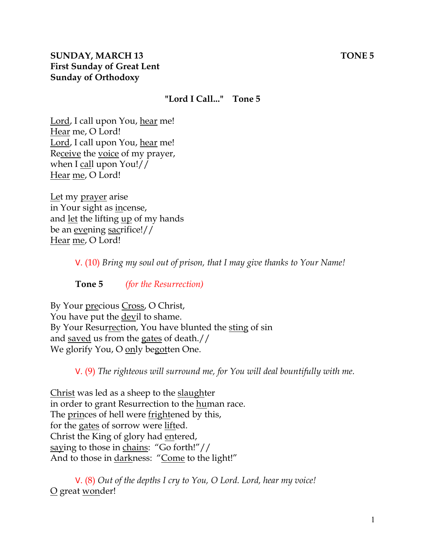# **SUNDAY, MARCH 13** TONE 5 **First Sunday of Great Lent Sunday of Orthodoxy**

#### **"Lord I Call..." Tone 5**

Lord, I call upon You, hear me! Hear me, O Lord! Lord, I call upon You, hear me! Receive the voice of my prayer, when I call upon You!// Hear me, O Lord!

Let my prayer arise in Your sight as incense, and let the lifting up of my hands be an evening sacrifice!// Hear me, O Lord!

V. (10) *Bring my soul out of prison, that I may give thanks to Your Name!* 

**Tone 5** *(for the Resurrection)* 

By Your precious Cross, O Christ, You have put the devil to shame. By Your Resurrection, You have blunted the sting of sin and saved us from the gates of death.// We glorify You, O only begotten One.

V. (9) *The righteous will surround me, for You will deal bountifully with me.* 

Christ was led as a sheep to the slaughter in order to grant Resurrection to the human race. The princes of hell were frightened by this, for the gates of sorrow were lifted. Christ the King of glory had entered, saying to those in chains: "Go forth!"// And to those in darkness: "Come to the light!"

V. (8) *Out of the depths I cry to You, O Lord. Lord, hear my voice!*  O great wonder!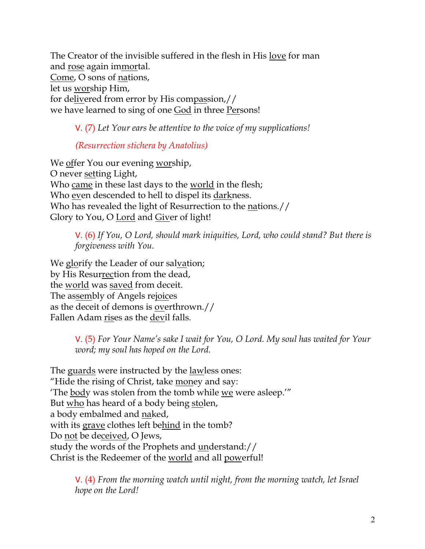The Creator of the invisible suffered in the flesh in His love for man and rose again immortal. Come, O sons of nations, let us worship Him, for delivered from error by His compassion,// we have learned to sing of one God in three Persons!

V. (7) *Let Your ears be attentive to the voice of my supplications!*

# *(Resurrection stichera by Anatolius)*

We offer You our evening worship, O never setting Light, Who came in these last days to the world in the flesh; Who even descended to hell to dispel its darkness. Who has revealed the light of Resurrection to the nations.// Glory to You, O Lord and Giver of light!

V. (6) *If You, O Lord, should mark iniquities, Lord, who could stand? But there is forgiveness with You.* 

We glorify the Leader of our salvation; by His Resurrection from the dead, the <u>world</u> was saved from deceit. The assembly of Angels rejoices as the deceit of demons is overthrown.// Fallen Adam rises as the devil falls.

> V. (5) *For Your Name's sake I wait for You, O Lord. My soul has waited for Your word; my soul has hoped on the Lord.*

The guards were instructed by the <u>lawless</u> ones: "Hide the rising of Christ, take money and say: 'The body was stolen from the tomb while we were asleep.'" But who has heard of a body being stolen, a body embalmed and <u>na</u>ked, with its grave clothes left behind in the tomb? Do not be deceived, O Jews, study the words of the Prophets and understand:// Christ is the Redeemer of the world and all powerful!

> V. (4) *From the morning watch until night, from the morning watch, let Israel hope on the Lord!*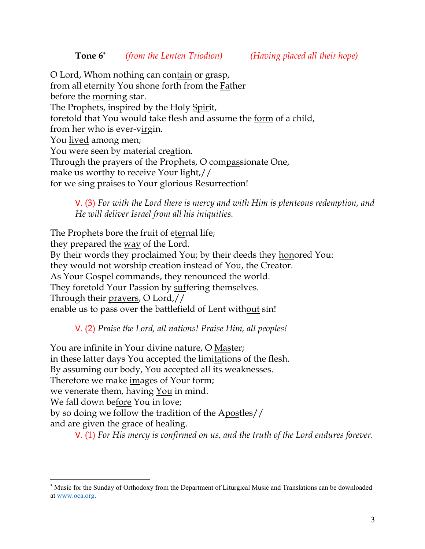O Lord, Whom nothing can contain or grasp, from all eternity You shone forth from the Father before the morning star. The Prophets, inspired by the Holy Spirit, foretold that You would take flesh and assume the form of a child, from her who is ever-virgin. You <u>lived</u> among men; You were seen by material creation. Through the prayers of the Prophets, O compassionate One, make us worthy to receive Your light,// for we sing praises to Your glorious Resurrection!

V. (3) *For with the Lord there is mercy and with Him is plenteous redemption, and He will deliver Israel from all his iniquities.*

The Prophets bore the fruit of eternal life; they prepared the <u>way</u> of the Lord. By their words they proclaimed You; by their deeds they honored You: they would not worship creation instead of You, the Creator. As Your Gospel commands, they renounced the world. They foretold Your Passion by suffering themselves. Through their prayers, O Lord,// enable us to pass over the battlefield of Lent without sin!

V. (2) *Praise the Lord, all nations! Praise Him, all peoples!*

You are infinite in Your divine nature, O Master; in these latter days You accepted the limitations of the flesh. By assuming our body, You accepted all its weaknesses. Therefore we make <u>images</u> of Your form; we venerate them, having <u>You</u> in mind. We fall down before You in love; by so doing we follow the tradition of the Apostles// and are given the grace of <u>healing</u>.

V. (1) *For His mercy is confirmed on us, and the truth of the Lord endures forever.* 

<sup>\*</sup> Music for the Sunday of Orthodoxy from the Department of Liturgical Music and Translations can be downloaded at www.oca.org.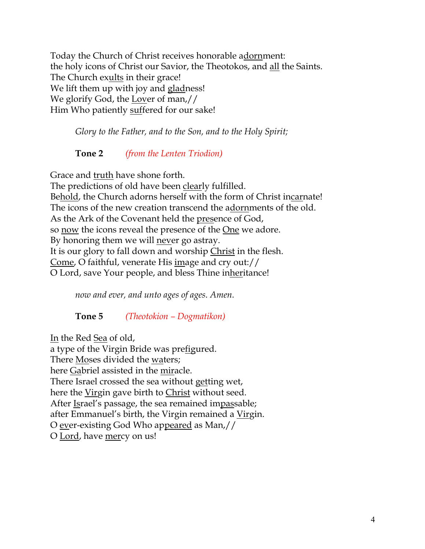Today the Church of Christ receives honorable adornment: the holy icons of Christ our Savior, the Theotokos, and all the Saints. The Church exults in their grace! We lift them up with joy and gladness! We glorify God, the Lover of man,// Him Who patiently suffered for our sake!

*Glory to the Father, and to the Son, and to the Holy Spirit;*

# **Tone 2** *(from the Lenten Triodion)*

Grace and truth have shone forth. The predictions of old have been clearly fulfilled. Behold, the Church adorns herself with the form of Christ incarnate! The icons of the new creation transcend the adornments of the old. As the Ark of the Covenant held the presence of God, so now the icons reveal the presence of the One we adore. By honoring them we will never go astray. It is our glory to fall down and worship Christ in the flesh. Come, O faithful, venerate His image and cry out:// O Lord, save Your people, and bless Thine inheritance!

*now and ever, and unto ages of ages. Amen.* 

**Tone 5** *(Theotokion – Dogmatikon)*

In the Red Sea of old,

a type of the Virgin Bride was prefigured. There Moses divided the waters; here Gabriel assisted in the miracle. There Israel crossed the sea without getting wet, here the Virgin gave birth to Christ without seed. After Israel's passage, the sea remained impassable; after Emmanuel's birth, the Virgin remained a Virgin. O ever-existing God Who appeared as Man,// O Lord, have mercy on us!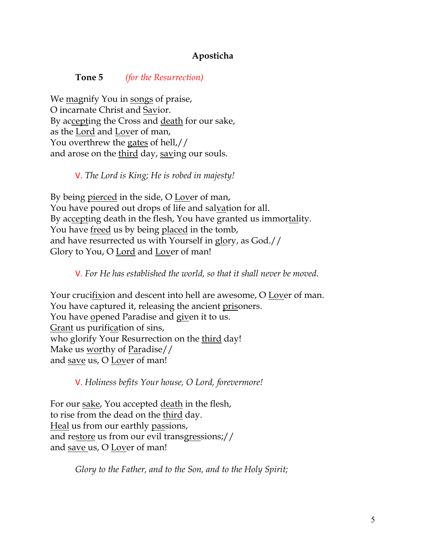## **Aposticha**

#### **Tone 5** *(for the Resurrection)*

We magnify You in songs of praise, O incarnate Christ and Savior. By accepting the Cross and death for our sake, as the Lord and Lover of man, You overthrew the gates of hell,// and arose on the third day, saving our souls.

#### V. *The Lord is King; He is robed in majesty!*

By being pierced in the side, O Lover of man, You have poured out drops of life and salvation for all. By accepting death in the flesh, You have granted us immortality. You have freed us by being placed in the tomb, and have resurrected us with Yourself in glory, as God.// Glory to You, O Lord and Lover of man!

#### V. *For He has established the world, so that it shall never be moved.*

Your crucifixion and descent into hell are awesome, O Lover of man. You have captured it, releasing the ancient prisoners. You have opened Paradise and given it to us. Grant us purification of sins, who glorify Your Resurrection on the third day! Make us worthy of Paradise// and save us, O Lover of man!

V. *Holiness befits Your house, O Lord, forevermore!* 

For our sake, You accepted death in the flesh, to rise from the dead on the third day. Heal us from our earthly passions, and restore us from our evil transgressions;// and save us, O Lover of man!

*Glory to the Father, and to the Son, and to the Holy Spirit;*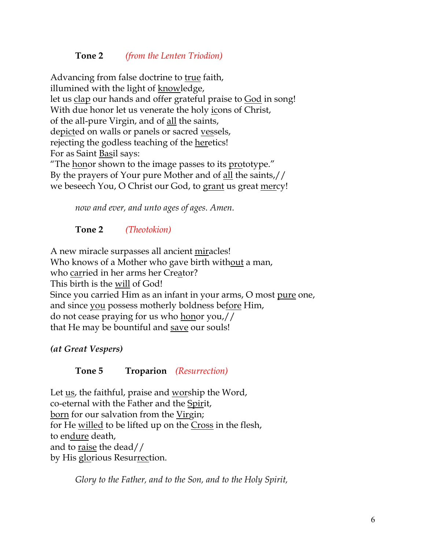## **Tone 2** *(from the Lenten Triodion)*

Advancing from false doctrine to true faith, illumined with the light of knowledge, let us clap our hands and offer grateful praise to God in song! With due honor let us venerate the holy icons of Christ, of the all-pure Virgin, and of all the saints, depicted on walls or panels or sacred vessels, rejecting the godless teaching of the heretics! For as Saint Basil says: "The honor shown to the image passes to its prototype." By the prayers of Your pure Mother and of all the saints,// we beseech You, O Christ our God, to grant us great mercy!

*now and ever, and unto ages of ages. Amen.*

# **Tone 2** *(Theotokion)*

A new miracle surpasses all ancient miracles! Who knows of a Mother who gave birth without a man, who carried in her arms her Creator? This birth is the will of God! Since you carried Him as an infant in your arms, O most pure one, and since you possess motherly boldness before Him, do not cease praying for us who honor you,// that He may be bountiful and save our souls!

### *(at Great Vespers)*

### **Tone 5 Troparion** *(Resurrection)*

Let us, the faithful, praise and worship the Word, co-eternal with the Father and the Spirit, born for our salvation from the Virgin; for He willed to be lifted up on the Cross in the flesh, to endure death, and to raise the dead// by His glorious Resurrection.

*Glory to the Father, and to the Son, and to the Holy Spirit,*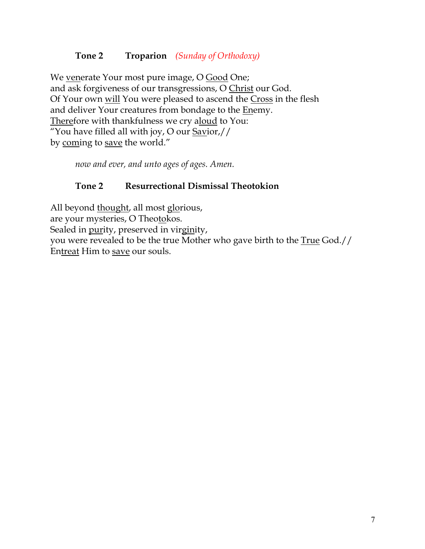# **Tone 2 Troparion** *(Sunday of Orthodoxy)*

We venerate Your most pure image, O Good One; and ask forgiveness of our transgressions, O Christ our God. Of Your own will You were pleased to ascend the Cross in the flesh and deliver Your creatures from bondage to the Enemy. Therefore with thankfulness we cry aloud to You: "You have filled all with joy, O our Savior,// by coming to save the world."

*now and ever, and unto ages of ages. Amen.*

### **Tone 2 Resurrectional Dismissal Theotokion**

All beyond thought, all most glorious, are your mysteries, O Theotokos. Sealed in purity, preserved in virginity, you were revealed to be the true Mother who gave birth to the True God.// Entreat Him to save our souls.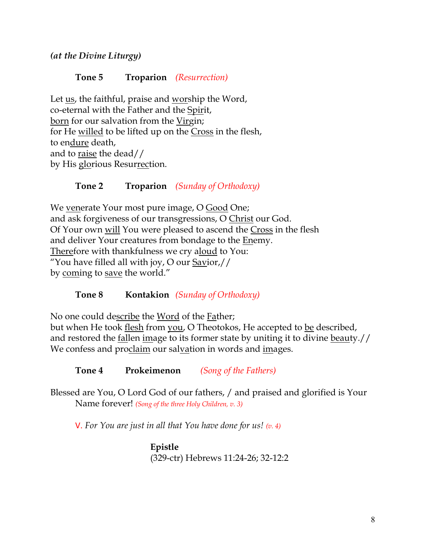*(at the Divine Liturgy)*

## **Tone 5 Troparion** *(Resurrection)*

Let us, the faithful, praise and worship the Word, co-eternal with the Father and the Spirit, born for our salvation from the Virgin; for He willed to be lifted up on the Cross in the flesh, to endure death, and to raise the dead// by His glorious Resurrection.

# **Tone 2 Troparion** *(Sunday of Orthodoxy)*

We venerate Your most pure image, O Good One; and ask forgiveness of our transgressions, O Christ our God. Of Your own will You were pleased to ascend the Cross in the flesh and deliver Your creatures from bondage to the Enemy. Therefore with thankfulness we cry aloud to You: "You have filled all with joy, O our  $Savior$ by coming to save the world."

### **Tone 8 Kontakion** *(Sunday of Orthodoxy)*

No one could describe the Word of the Father; but when He took flesh from you, O Theotokos, He accepted to be described, and restored the <u>fallen image to its former state by uniting it to divine beauty.</u> We confess and proclaim our salvation in words and images.

**Tone 4 Prokeimenon** *(Song of the Fathers)*

Blessed are You, O Lord God of our fathers, / and praised and glorified is Your Name forever! *(Song of the three Holy Children, v. 3)*

V. *For You are just in all that You have done for us! (v. 4)*

**Epistle** (329-ctr) Hebrews 11:24-26; 32-12:2